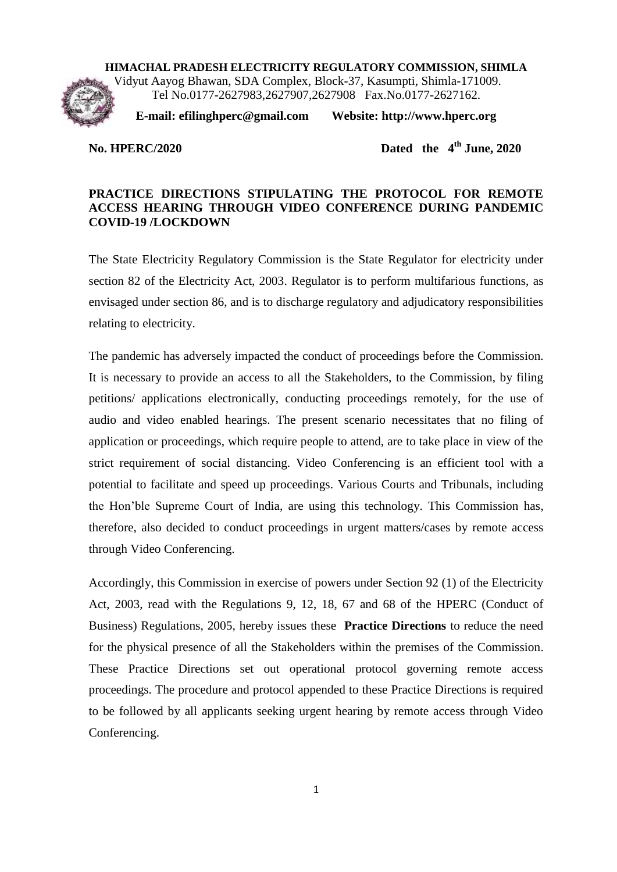# **HIMACHAL PRADESH ELECTRICITY REGULATORY COMMISSION, SHIMLA** Vidyut Aayog Bhawan, SDA Complex, Block-37, Kasumpti, Shimla-171009. Tel No.0177-2627983,2627907,2627908 Fax.No.0177-2627162.

**E-mail: efilinghperc@gmail.com Website: http://www.hperc.org**

#### **No. HPERC/2020**

Dated the  $4<sup>th</sup>$  June, 2020

### **PRACTICE DIRECTIONS STIPULATING THE PROTOCOL FOR REMOTE ACCESS HEARING THROUGH VIDEO CONFERENCE DURING PANDEMIC COVID-19 /LOCKDOWN**

The State Electricity Regulatory Commission is the State Regulator for electricity under section 82 of the Electricity Act, 2003. Regulator is to perform multifarious functions, as envisaged under section 86, and is to discharge regulatory and adjudicatory responsibilities relating to electricity.

The pandemic has adversely impacted the conduct of proceedings before the Commission. It is necessary to provide an access to all the Stakeholders, to the Commission, by filing petitions/ applications electronically, conducting proceedings remotely, for the use of audio and video enabled hearings. The present scenario necessitates that no filing of application or proceedings, which require people to attend, are to take place in view of the strict requirement of social distancing. Video Conferencing is an efficient tool with a potential to facilitate and speed up proceedings. Various Courts and Tribunals, including the Hon'ble Supreme Court of India, are using this technology. This Commission has, therefore, also decided to conduct proceedings in urgent matters/cases by remote access through Video Conferencing.

Accordingly, this Commission in exercise of powers under Section 92 (1) of the Electricity Act, 2003, read with the Regulations 9, 12, 18, 67 and 68 of the HPERC (Conduct of Business) Regulations, 2005, hereby issues these **Practice Directions** to reduce the need for the physical presence of all the Stakeholders within the premises of the Commission. These Practice Directions set out operational protocol governing remote access proceedings. The procedure and protocol appended to these Practice Directions is required to be followed by all applicants seeking urgent hearing by remote access through Video Conferencing.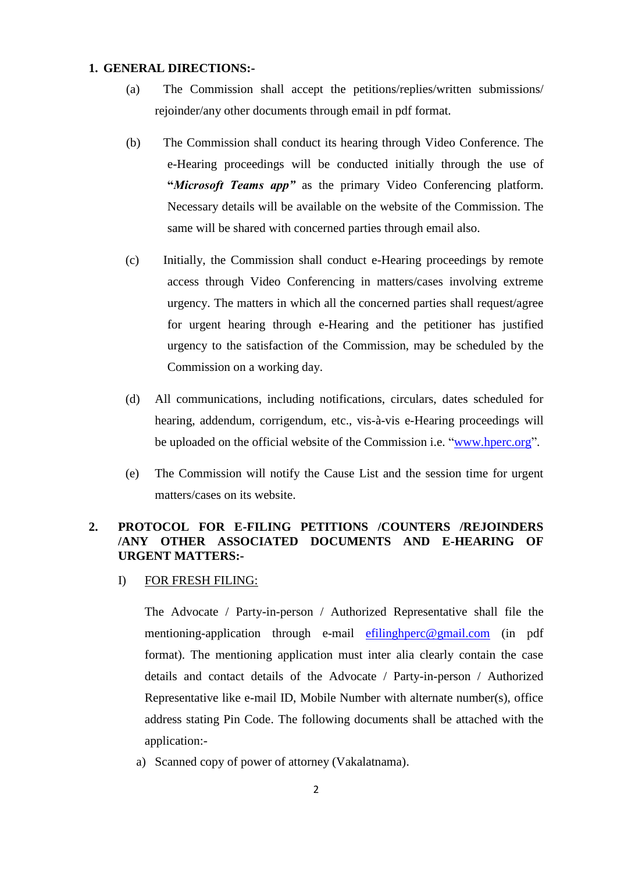#### **1. GENERAL DIRECTIONS:-**

- (a) The Commission shall accept the petitions/replies/written submissions/ rejoinder/any other documents through email in pdf format.
- (b) The Commission shall conduct its hearing through Video Conference. The e-Hearing proceedings will be conducted initially through the use of **"***Microsoft Teams app"* as the primary Video Conferencing platform. Necessary details will be available on the website of the Commission. The same will be shared with concerned parties through email also.
- (c) Initially, the Commission shall conduct e-Hearing proceedings by remote access through Video Conferencing in matters/cases involving extreme urgency. The matters in which all the concerned parties shall request/agree for urgent hearing through e-Hearing and the petitioner has justified urgency to the satisfaction of the Commission, may be scheduled by the Commission on a working day.
- (d) All communications, including notifications, circulars, dates scheduled for hearing, addendum, corrigendum, etc., vis-à-vis e-Hearing proceedings will be uploaded on the official website of the Commission i.e. ["www.hperc.org"](http://www.hperc.org/).
- (e) The Commission will notify the Cause List and the session time for urgent matters/cases on its website.

## **2. PROTOCOL FOR E-FILING PETITIONS /COUNTERS /REJOINDERS /ANY OTHER ASSOCIATED DOCUMENTS AND E-HEARING OF URGENT MATTERS:-**

I) FOR FRESH FILING:

The Advocate / Party-in-person / Authorized Representative shall file the mentioning-application through e-mail [efilinghperc@gmail.com](mailto:efilinghperc@gmail.com) (in pdf format). The mentioning application must inter alia clearly contain the case details and contact details of the Advocate / Party-in-person / Authorized Representative like e-mail ID, Mobile Number with alternate number(s), office address stating Pin Code. The following documents shall be attached with the application:-

a) Scanned copy of power of attorney (Vakalatnama).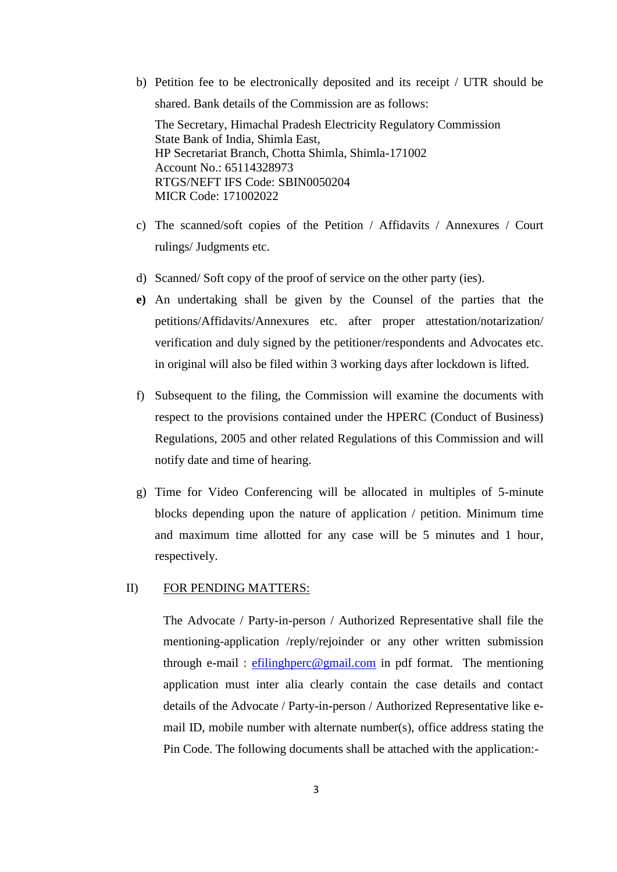b) Petition fee to be electronically deposited and its receipt / UTR should be shared. Bank details of the Commission are as follows: The Secretary, Himachal Pradesh Electricity Regulatory Commission

State Bank of India, Shimla East, HP Secretariat Branch, Chotta Shimla, Shimla-171002 Account No.: 65114328973 RTGS/NEFT IFS Code: SBIN0050204 MICR Code: 171002022

- c) The scanned/soft copies of the Petition / Affidavits / Annexures / Court rulings/ Judgments etc.
- d) Scanned/ Soft copy of the proof of service on the other party (ies).
- **e)** An undertaking shall be given by the Counsel of the parties that the petitions/Affidavits/Annexures etc. after proper attestation/notarization/ verification and duly signed by the petitioner/respondents and Advocates etc. in original will also be filed within 3 working days after lockdown is lifted.
- f) Subsequent to the filing, the Commission will examine the documents with respect to the provisions contained under the HPERC (Conduct of Business) Regulations, 2005 and other related Regulations of this Commission and will notify date and time of hearing.
- g) Time for Video Conferencing will be allocated in multiples of 5-minute blocks depending upon the nature of application / petition. Minimum time and maximum time allotted for any case will be 5 minutes and 1 hour, respectively.

#### II) FOR PENDING MATTERS:

The Advocate / Party-in-person / Authorized Representative shall file the mentioning-application /reply/rejoinder or any other written submission through e-mail : [efilinghperc@gmail.com](mailto:efilinghperc@gmail.com) in pdf format. The mentioning application must inter alia clearly contain the case details and contact details of the Advocate / Party-in-person / Authorized Representative like email ID, mobile number with alternate number(s), office address stating the Pin Code. The following documents shall be attached with the application:-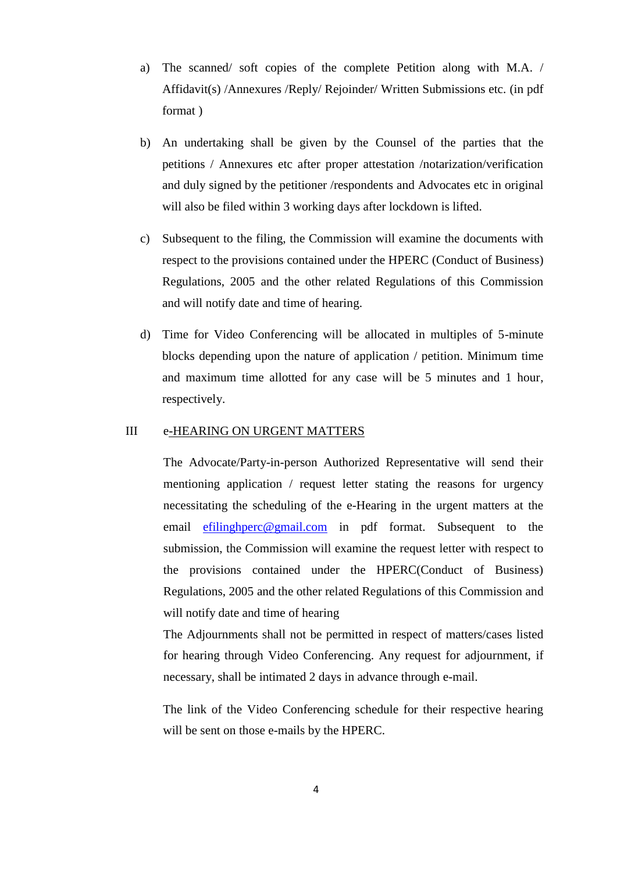- a) The scanned/ soft copies of the complete Petition along with M.A. / Affidavit(s) /Annexures /Reply/ Rejoinder/ Written Submissions etc. (in pdf format )
- b) An undertaking shall be given by the Counsel of the parties that the petitions / Annexures etc after proper attestation /notarization/verification and duly signed by the petitioner /respondents and Advocates etc in original will also be filed within 3 working days after lockdown is lifted.
- c) Subsequent to the filing, the Commission will examine the documents with respect to the provisions contained under the HPERC (Conduct of Business) Regulations, 2005 and the other related Regulations of this Commission and will notify date and time of hearing.
- d) Time for Video Conferencing will be allocated in multiples of 5-minute blocks depending upon the nature of application / petition. Minimum time and maximum time allotted for any case will be 5 minutes and 1 hour, respectively.

#### III e-HEARING ON URGENT MATTERS

The Advocate/Party-in-person Authorized Representative will send their mentioning application / request letter stating the reasons for urgency necessitating the scheduling of the e-Hearing in the urgent matters at the email [efilinghperc@gmail.com](mailto:efilinghperc@gmail.com) in pdf format. Subsequent to the submission, the Commission will examine the request letter with respect to the provisions contained under the HPERC(Conduct of Business) Regulations, 2005 and the other related Regulations of this Commission and will notify date and time of hearing

The Adjournments shall not be permitted in respect of matters/cases listed for hearing through Video Conferencing. Any request for adjournment, if necessary, shall be intimated 2 days in advance through e-mail.

The link of the Video Conferencing schedule for their respective hearing will be sent on those e-mails by the HPERC.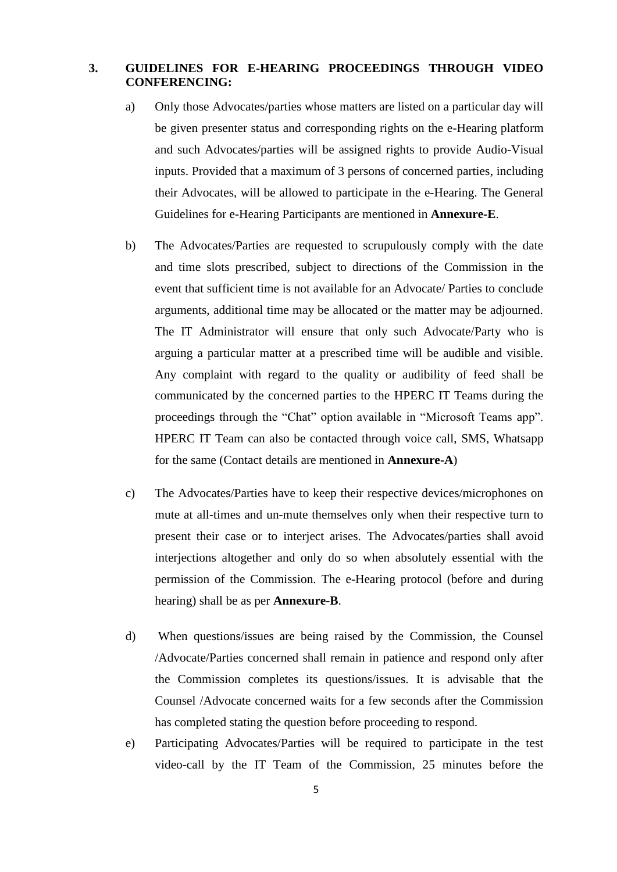### **3. GUIDELINES FOR E-HEARING PROCEEDINGS THROUGH VIDEO CONFERENCING:**

- a) Only those Advocates/parties whose matters are listed on a particular day will be given presenter status and corresponding rights on the e-Hearing platform and such Advocates/parties will be assigned rights to provide Audio-Visual inputs. Provided that a maximum of 3 persons of concerned parties, including their Advocates, will be allowed to participate in the e-Hearing. The General Guidelines for e-Hearing Participants are mentioned in **Annexure-E**.
- b) The Advocates/Parties are requested to scrupulously comply with the date and time slots prescribed, subject to directions of the Commission in the event that sufficient time is not available for an Advocate/ Parties to conclude arguments, additional time may be allocated or the matter may be adjourned. The IT Administrator will ensure that only such Advocate/Party who is arguing a particular matter at a prescribed time will be audible and visible. Any complaint with regard to the quality or audibility of feed shall be communicated by the concerned parties to the HPERC IT Teams during the proceedings through the "Chat" option available in "Microsoft Teams app". HPERC IT Team can also be contacted through voice call, SMS, Whatsapp for the same (Contact details are mentioned in **Annexure-A**)
- c) The Advocates/Parties have to keep their respective devices/microphones on mute at all-times and un-mute themselves only when their respective turn to present their case or to interject arises. The Advocates/parties shall avoid interjections altogether and only do so when absolutely essential with the permission of the Commission. The e-Hearing protocol (before and during hearing) shall be as per **Annexure-B**.
- d) When questions/issues are being raised by the Commission, the Counsel /Advocate/Parties concerned shall remain in patience and respond only after the Commission completes its questions/issues. It is advisable that the Counsel /Advocate concerned waits for a few seconds after the Commission has completed stating the question before proceeding to respond.
- e) Participating Advocates/Parties will be required to participate in the test video-call by the IT Team of the Commission, 25 minutes before the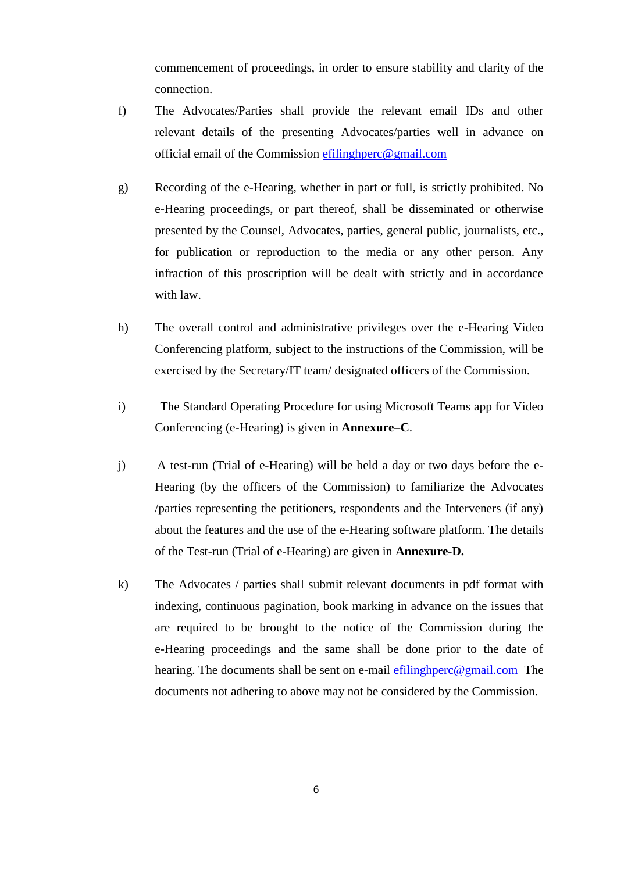commencement of proceedings, in order to ensure stability and clarity of the connection.

- f) The Advocates/Parties shall provide the relevant email IDs and other relevant details of the presenting Advocates/parties well in advance on official email of the Commission [efilinghperc@gmail.com](mailto:efilinghperc@gmail.com)
- g) Recording of the e-Hearing, whether in part or full, is strictly prohibited. No e-Hearing proceedings, or part thereof, shall be disseminated or otherwise presented by the Counsel, Advocates, parties, general public, journalists, etc., for publication or reproduction to the media or any other person. Any infraction of this proscription will be dealt with strictly and in accordance with law.
- h) The overall control and administrative privileges over the e-Hearing Video Conferencing platform, subject to the instructions of the Commission, will be exercised by the Secretary/IT team/ designated officers of the Commission.
- i) The Standard Operating Procedure for using Microsoft Teams app for Video Conferencing (e-Hearing) is given in **Annexure–C**.
- j) A test-run (Trial of e-Hearing) will be held a day or two days before the e-Hearing (by the officers of the Commission) to familiarize the Advocates /parties representing the petitioners, respondents and the Interveners (if any) about the features and the use of the e-Hearing software platform. The details of the Test-run (Trial of e-Hearing) are given in **Annexure-D.**
- k) The Advocates / parties shall submit relevant documents in pdf format with indexing, continuous pagination, book marking in advance on the issues that are required to be brought to the notice of the Commission during the e-Hearing proceedings and the same shall be done prior to the date of hearing. The documents shall be sent on e-mail [efilinghperc@gmail.com](mailto:efilinghperc@gmail.com) The documents not adhering to above may not be considered by the Commission.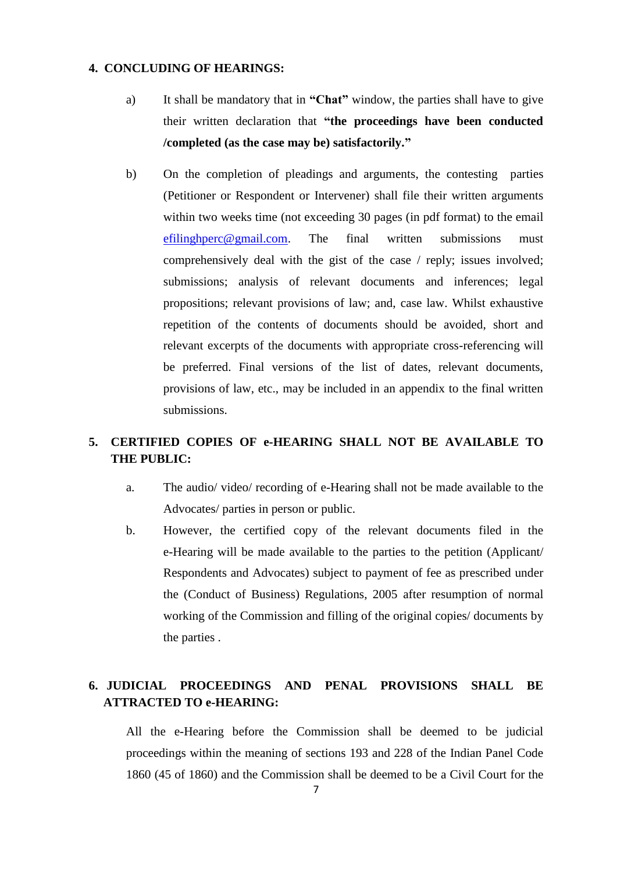### **4. CONCLUDING OF HEARINGS:**

- a) It shall be mandatory that in **"Chat"** window, the parties shall have to give their written declaration that **"the proceedings have been conducted /completed (as the case may be) satisfactorily."**
- b) On the completion of pleadings and arguments, the contesting parties (Petitioner or Respondent or Intervener) shall file their written arguments within two weeks time (not exceeding 30 pages (in pdf format) to the email [efilinghperc@gmail.com.](mailto:efilinghperc@gmail.com) The final written submissions must comprehensively deal with the gist of the case / reply; issues involved; submissions; analysis of relevant documents and inferences; legal propositions; relevant provisions of law; and, case law. Whilst exhaustive repetition of the contents of documents should be avoided, short and relevant excerpts of the documents with appropriate cross-referencing will be preferred. Final versions of the list of dates, relevant documents, provisions of law, etc., may be included in an appendix to the final written submissions.

# **5. CERTIFIED COPIES OF e-HEARING SHALL NOT BE AVAILABLE TO THE PUBLIC:**

- a. The audio/ video/ recording of e-Hearing shall not be made available to the Advocates/ parties in person or public.
- b. However, the certified copy of the relevant documents filed in the e-Hearing will be made available to the parties to the petition (Applicant/ Respondents and Advocates) subject to payment of fee as prescribed under the (Conduct of Business) Regulations, 2005 after resumption of normal working of the Commission and filling of the original copies/ documents by the parties .

# **6. JUDICIAL PROCEEDINGS AND PENAL PROVISIONS SHALL BE ATTRACTED TO e-HEARING:**

All the e-Hearing before the Commission shall be deemed to be judicial proceedings within the meaning of sections 193 and 228 of the Indian Panel Code 1860 (45 of 1860) and the Commission shall be deemed to be a Civil Court for the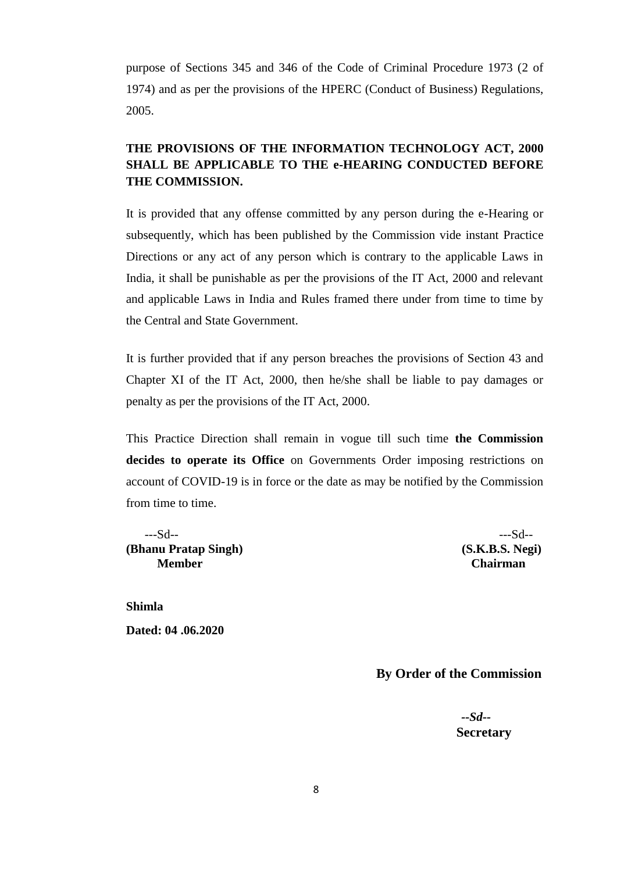purpose of Sections 345 and 346 of the Code of Criminal Procedure 1973 (2 of 1974) and as per the provisions of the HPERC (Conduct of Business) Regulations, 2005.

# **THE PROVISIONS OF THE INFORMATION TECHNOLOGY ACT, 2000 SHALL BE APPLICABLE TO THE e-HEARING CONDUCTED BEFORE THE COMMISSION.**

It is provided that any offense committed by any person during the e-Hearing or subsequently, which has been published by the Commission vide instant Practice Directions or any act of any person which is contrary to the applicable Laws in India, it shall be punishable as per the provisions of the IT Act, 2000 and relevant and applicable Laws in India and Rules framed there under from time to time by the Central and State Government.

It is further provided that if any person breaches the provisions of Section 43 and Chapter XI of the IT Act, 2000, then he/she shall be liable to pay damages or penalty as per the provisions of the IT Act, 2000.

This Practice Direction shall remain in vogue till such time **the Commission decides to operate its Office** on Governments Order imposing restrictions on account of COVID-19 is in force or the date as may be notified by the Commission from time to time.

 ---Sd-- ---Sd--  **(Bhanu Pratap Singh) (S.K.B.S. Negi) Member Chairman**

**Shimla Dated: 04 .06.2020** 

 **By Order of the Commission**

 *--Sd--* **Secretary**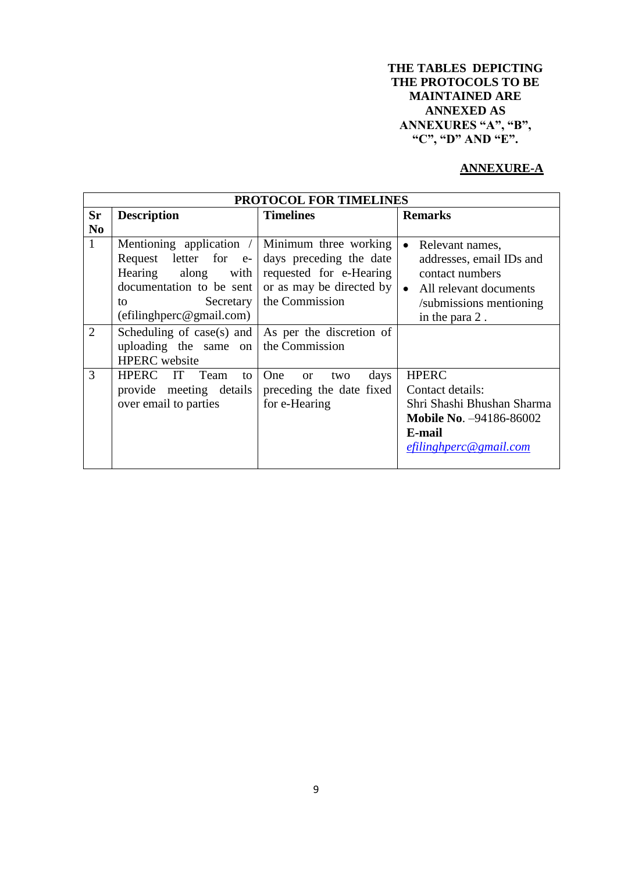## **THE TABLES DEPICTING THE PROTOCOLS TO BE MAINTAINED ARE ANNEXED AS ANNEXURES "A", "B", "C", "D" AND "E".**

# **ANNEXURE-A**

|                                | <b>PROTOCOL FOR TIMELINES</b>                                                                                                                                                                                    |                                                                                                                           |                                                                                                                                                      |  |
|--------------------------------|------------------------------------------------------------------------------------------------------------------------------------------------------------------------------------------------------------------|---------------------------------------------------------------------------------------------------------------------------|------------------------------------------------------------------------------------------------------------------------------------------------------|--|
| <b>Sr</b><br>No                | <b>Description</b>                                                                                                                                                                                               | <b>Timelines</b>                                                                                                          | <b>Remarks</b>                                                                                                                                       |  |
| $\mathbf{1}$<br>$\overline{2}$ | Mentioning application /<br>Request letter for e-<br>Hearing along with<br>documentation to be sent<br>Secretary<br>to<br>(efiling here@gmail.com)<br>Scheduling of case(s) and $\vert$ As per the discretion of | Minimum three working<br>days preceding the date<br>requested for e-Hearing<br>or as may be directed by<br>the Commission | Relevant names,<br>$\bullet$<br>addresses, email IDs and<br>contact numbers<br>• All relevant documents<br>/submissions mentioning<br>in the para 2. |  |
|                                | uploading the same on<br><b>HPERC</b> website                                                                                                                                                                    | the Commission                                                                                                            |                                                                                                                                                      |  |
| 3                              | HPERC IT Team<br>to<br>provide meeting details<br>over email to parties                                                                                                                                          | One<br>days<br>two<br><b>or</b><br>preceding the date fixed<br>for e-Hearing                                              | <b>HPERC</b><br>Contact details:<br>Shri Shashi Bhushan Sharma<br><b>Mobile No. -94186-86002</b><br>E-mail<br>efilinghperc@gmail.com                 |  |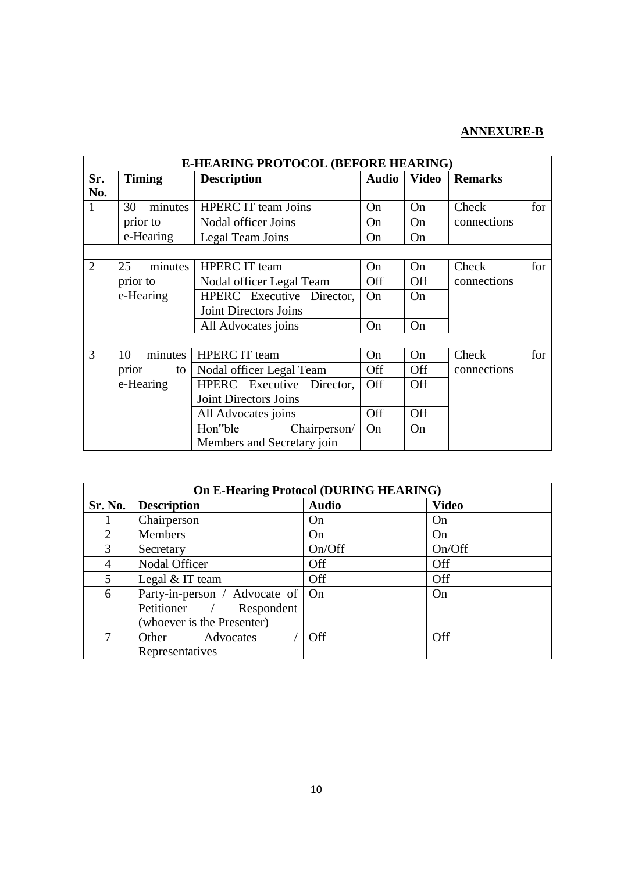# **ANNEXURE-B**

|                |               | E-HEARING PROTOCOL (BEFORE HEARING) |              |              |                |  |
|----------------|---------------|-------------------------------------|--------------|--------------|----------------|--|
| Sr.            | <b>Timing</b> | <b>Description</b>                  | <b>Audio</b> | <b>Video</b> | <b>Remarks</b> |  |
| No.            |               |                                     |              |              |                |  |
| $\mathbf{1}$   | minutes<br>30 | <b>HPERC</b> IT team Joins          | On           | On           | for<br>Check   |  |
|                | prior to      | Nodal officer Joins                 | On           | On           | connections    |  |
|                | e-Hearing     | Legal Team Joins                    | On           | On           |                |  |
|                |               |                                     |              |              |                |  |
| $\overline{2}$ | 25<br>minutes | <b>HPERC</b> IT team                | On           | On           | Check<br>for   |  |
|                | prior to      | Nodal officer Legal Team            | <b>Off</b>   | Off          | connections    |  |
|                | e-Hearing     | HPERC Executive Director,           | On           | On           |                |  |
|                |               | <b>Joint Directors Joins</b>        |              |              |                |  |
|                |               | All Advocates joins                 | On           | On           |                |  |
|                |               |                                     |              |              |                |  |
| 3              | minutes<br>10 | <b>HPERC</b> IT team                | On           | On           | for<br>Check   |  |
|                | prior<br>to   | Nodal officer Legal Team            | Off          | Off          | connections    |  |
|                | e-Hearing     | HPERC Executive Director,           | Off          | Off          |                |  |
|                |               | Joint Directors Joins               |              |              |                |  |
|                |               | All Advocates joins                 | Off          | Off          |                |  |
|                |               | Hon"ble<br>Chairperson/<br>On<br>On |              |              |                |  |
|                |               | Members and Secretary join          |              |              |                |  |

|         |                               | <b>On E-Hearing Protocol (DURING HEARING)</b> |              |  |
|---------|-------------------------------|-----------------------------------------------|--------------|--|
| Sr. No. | <b>Description</b>            | <b>Audio</b>                                  | <b>Video</b> |  |
|         | Chairperson                   | On                                            | On           |  |
| 2       | <b>Members</b>                | On                                            | On           |  |
| 3       | Secretary                     | On/Off                                        | On/Off       |  |
| 4       | Nodal Officer                 | Off                                           | Off          |  |
| 5       | Legal $&$ IT team             | Off                                           | Off          |  |
| 6       | Party-in-person / Advocate of | On                                            | On           |  |
|         | Petitioner /<br>Respondent    |                                               |              |  |
|         | (whoever is the Presenter)    |                                               |              |  |
| 7       | Advocates<br>Other            | Off                                           | <b>Off</b>   |  |
|         | Representatives               |                                               |              |  |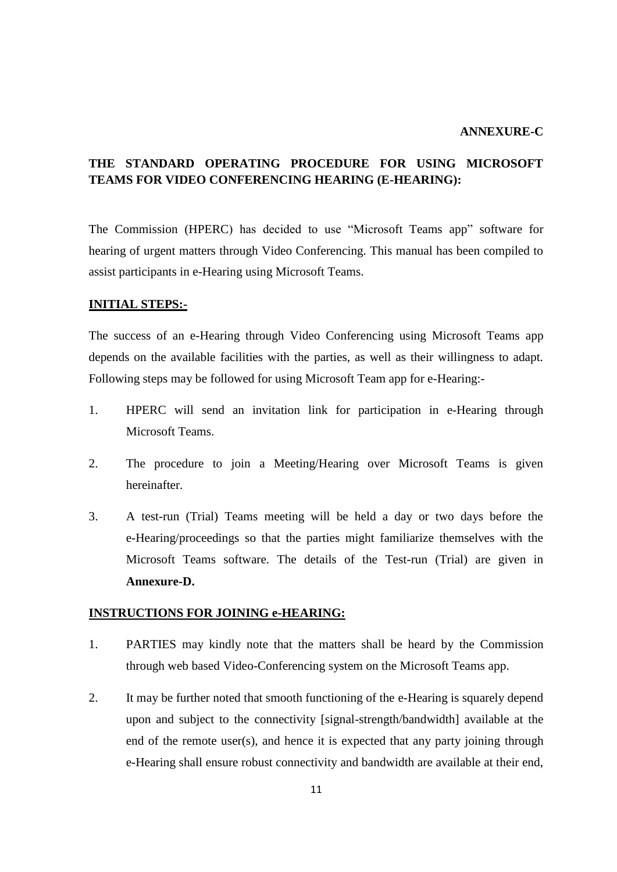## **ANNEXURE-C**

## **THE STANDARD OPERATING PROCEDURE FOR USING MICROSOFT TEAMS FOR VIDEO CONFERENCING HEARING (E-HEARING):**

The Commission (HPERC) has decided to use "Microsoft Teams app" software for hearing of urgent matters through Video Conferencing. This manual has been compiled to assist participants in e-Hearing using Microsoft Teams.

## **INITIAL STEPS:-**

The success of an e-Hearing through Video Conferencing using Microsoft Teams app depends on the available facilities with the parties, as well as their willingness to adapt. Following steps may be followed for using Microsoft Team app for e-Hearing:-

- 1. HPERC will send an invitation link for participation in e-Hearing through Microsoft Teams.
- 2. The procedure to join a Meeting/Hearing over Microsoft Teams is given hereinafter.
- 3. A test-run (Trial) Teams meeting will be held a day or two days before the e-Hearing/proceedings so that the parties might familiarize themselves with the Microsoft Teams software. The details of the Test-run (Trial) are given in **Annexure-D.**

### **INSTRUCTIONS FOR JOINING e-HEARING:**

- 1. PARTIES may kindly note that the matters shall be heard by the Commission through web based Video-Conferencing system on the Microsoft Teams app.
- 2. It may be further noted that smooth functioning of the e-Hearing is squarely depend upon and subject to the connectivity [signal-strength/bandwidth] available at the end of the remote user(s), and hence it is expected that any party joining through e-Hearing shall ensure robust connectivity and bandwidth are available at their end,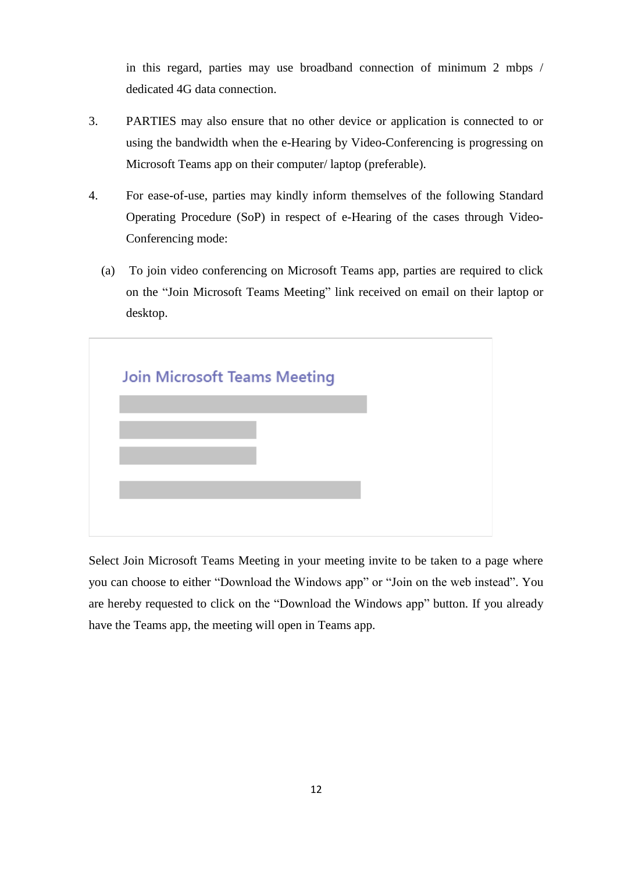in this regard, parties may use broadband connection of minimum 2 mbps / dedicated 4G data connection.

- 3. PARTIES may also ensure that no other device or application is connected to or using the bandwidth when the e-Hearing by Video-Conferencing is progressing on Microsoft Teams app on their computer/ laptop (preferable).
- 4. For ease-of-use, parties may kindly inform themselves of the following Standard Operating Procedure (SoP) in respect of e-Hearing of the cases through Video-Conferencing mode:
	- (a) To join video conferencing on Microsoft Teams app, parties are required to click on the "Join Microsoft Teams Meeting" link received on email on their laptop or desktop.

| <b>Join Microsoft Teams Meeting</b> |  |
|-------------------------------------|--|
|                                     |  |
|                                     |  |
|                                     |  |
|                                     |  |
|                                     |  |
|                                     |  |

Select Join Microsoft Teams Meeting in your meeting invite to be taken to a page where you can choose to either "Download the Windows app" or "Join on the web instead". You are hereby requested to click on the "Download the Windows app" button. If you already have the Teams app, the meeting will open in Teams app.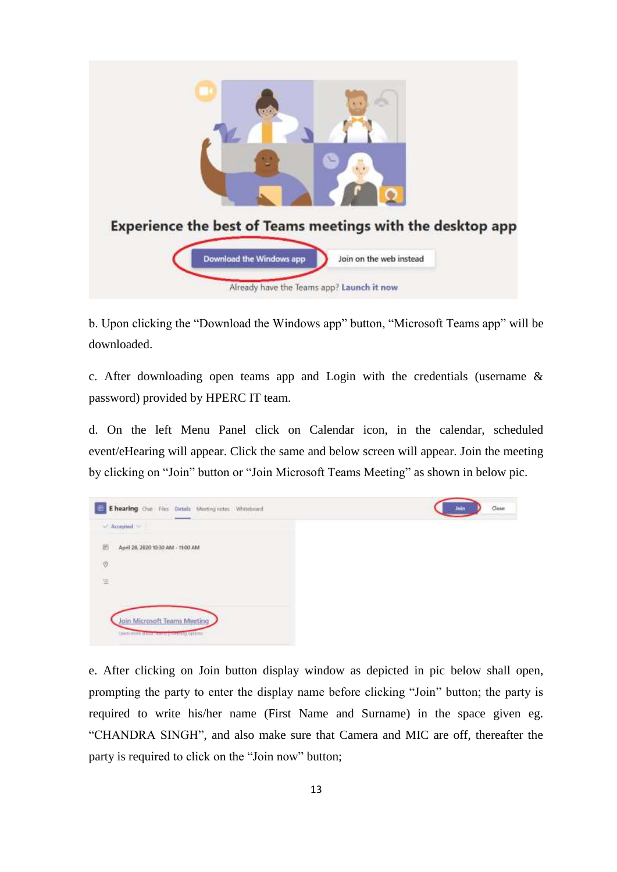

b. Upon clicking the "Download the Windows app" button, "Microsoft Teams app" will be downloaded.

c. After downloading open teams app and Login with the credentials (username & password) provided by HPERC IT team.

d. On the left Menu Panel click on Calendar icon, in the calendar, scheduled event/eHearing will appear. Click the same and below screen will appear. Join the meeting by clicking on "Join" button or "Join Microsoft Teams Meeting" as shown in below pic.



e. After clicking on Join button display window as depicted in pic below shall open, prompting the party to enter the display name before clicking "Join" button; the party is required to write his/her name (First Name and Surname) in the space given eg. "CHANDRA SINGH", and also make sure that Camera and MIC are off, thereafter the party is required to click on the "Join now" button;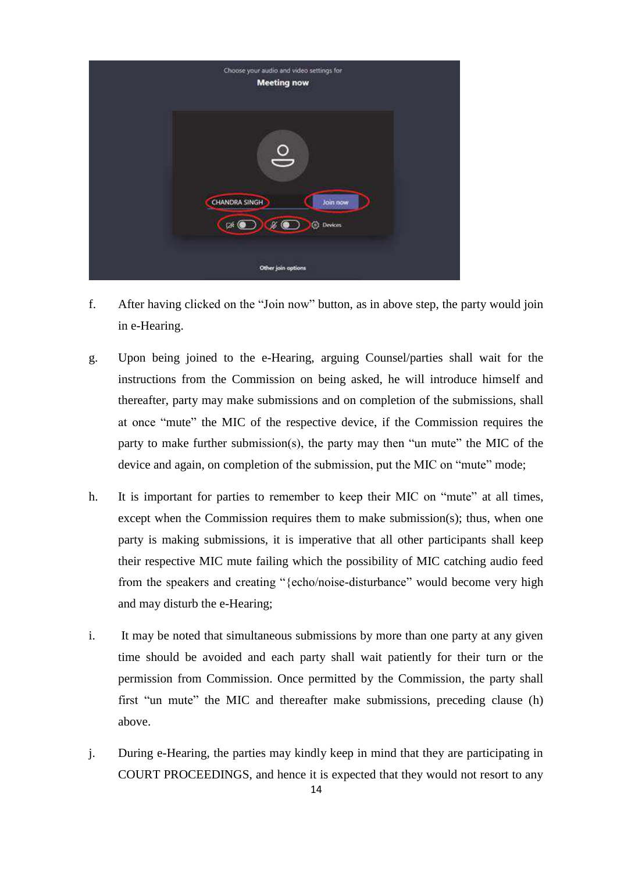

- f. After having clicked on the "Join now" button, as in above step, the party would join in e-Hearing.
- g. Upon being joined to the e-Hearing, arguing Counsel/parties shall wait for the instructions from the Commission on being asked, he will introduce himself and thereafter, party may make submissions and on completion of the submissions, shall at once "mute" the MIC of the respective device, if the Commission requires the party to make further submission(s), the party may then "un mute" the MIC of the device and again, on completion of the submission, put the MIC on "mute" mode;
- h. It is important for parties to remember to keep their MIC on "mute" at all times, except when the Commission requires them to make submission(s); thus, when one party is making submissions, it is imperative that all other participants shall keep their respective MIC mute failing which the possibility of MIC catching audio feed from the speakers and creating "{echo/noise-disturbance" would become very high and may disturb the e-Hearing;
- i. It may be noted that simultaneous submissions by more than one party at any given time should be avoided and each party shall wait patiently for their turn or the permission from Commission. Once permitted by the Commission, the party shall first "un mute" the MIC and thereafter make submissions, preceding clause (h) above.
- j. During e-Hearing, the parties may kindly keep in mind that they are participating in COURT PROCEEDINGS, and hence it is expected that they would not resort to any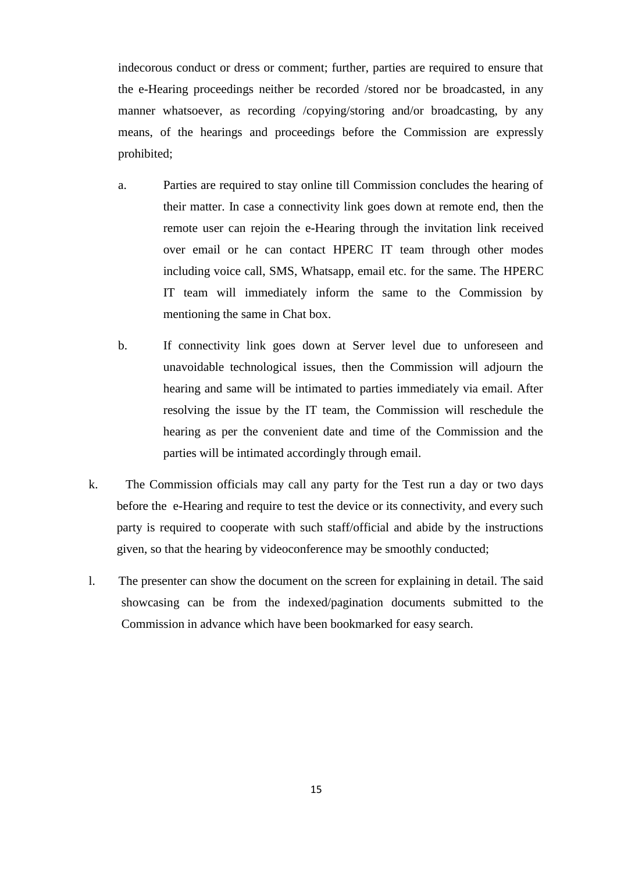indecorous conduct or dress or comment; further, parties are required to ensure that the e-Hearing proceedings neither be recorded /stored nor be broadcasted, in any manner whatsoever, as recording /copying/storing and/or broadcasting, by any means, of the hearings and proceedings before the Commission are expressly prohibited;

- a. Parties are required to stay online till Commission concludes the hearing of their matter. In case a connectivity link goes down at remote end, then the remote user can rejoin the e-Hearing through the invitation link received over email or he can contact HPERC IT team through other modes including voice call, SMS, Whatsapp, email etc. for the same. The HPERC IT team will immediately inform the same to the Commission by mentioning the same in Chat box.
- b. If connectivity link goes down at Server level due to unforeseen and unavoidable technological issues, then the Commission will adjourn the hearing and same will be intimated to parties immediately via email. After resolving the issue by the IT team, the Commission will reschedule the hearing as per the convenient date and time of the Commission and the parties will be intimated accordingly through email.
- k. The Commission officials may call any party for the Test run a day or two days before the e-Hearing and require to test the device or its connectivity, and every such party is required to cooperate with such staff/official and abide by the instructions given, so that the hearing by videoconference may be smoothly conducted;
- l. The presenter can show the document on the screen for explaining in detail. The said showcasing can be from the indexed/pagination documents submitted to the Commission in advance which have been bookmarked for easy search.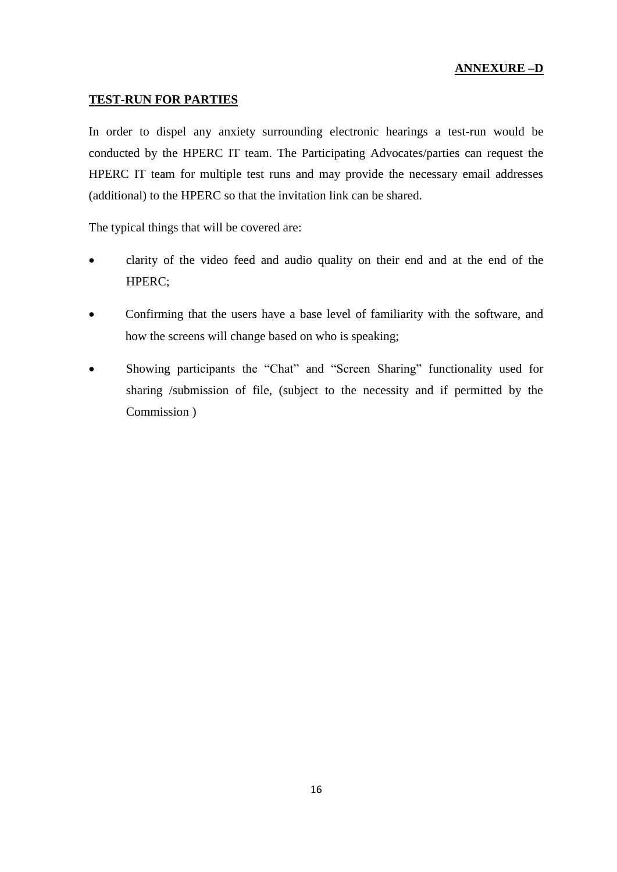## **ANNEXURE –D**

## **TEST-RUN FOR PARTIES**

In order to dispel any anxiety surrounding electronic hearings a test-run would be conducted by the HPERC IT team. The Participating Advocates/parties can request the HPERC IT team for multiple test runs and may provide the necessary email addresses (additional) to the HPERC so that the invitation link can be shared.

The typical things that will be covered are:

- clarity of the video feed and audio quality on their end and at the end of the HPERC;
- Confirming that the users have a base level of familiarity with the software, and how the screens will change based on who is speaking;
- Showing participants the "Chat" and "Screen Sharing" functionality used for sharing /submission of file, (subject to the necessity and if permitted by the Commission )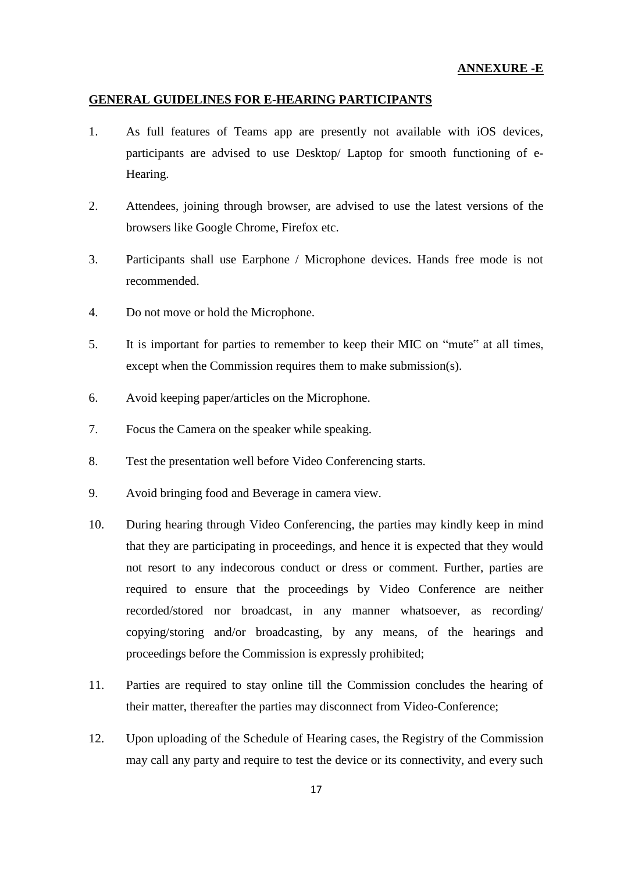## **GENERAL GUIDELINES FOR E-HEARING PARTICIPANTS**

- 1. As full features of Teams app are presently not available with iOS devices, participants are advised to use Desktop/ Laptop for smooth functioning of e-Hearing.
- 2. Attendees, joining through browser, are advised to use the latest versions of the browsers like Google Chrome, Firefox etc.
- 3. Participants shall use Earphone / Microphone devices. Hands free mode is not recommended.
- 4. Do not move or hold the Microphone.
- 5. It is important for parties to remember to keep their MIC on "mute" at all times, except when the Commission requires them to make submission(s).
- 6. Avoid keeping paper/articles on the Microphone.
- 7. Focus the Camera on the speaker while speaking.
- 8. Test the presentation well before Video Conferencing starts.
- 9. Avoid bringing food and Beverage in camera view.
- 10. During hearing through Video Conferencing, the parties may kindly keep in mind that they are participating in proceedings, and hence it is expected that they would not resort to any indecorous conduct or dress or comment. Further, parties are required to ensure that the proceedings by Video Conference are neither recorded/stored nor broadcast, in any manner whatsoever, as recording/ copying/storing and/or broadcasting, by any means, of the hearings and proceedings before the Commission is expressly prohibited;
- 11. Parties are required to stay online till the Commission concludes the hearing of their matter, thereafter the parties may disconnect from Video-Conference;
- 12. Upon uploading of the Schedule of Hearing cases, the Registry of the Commission may call any party and require to test the device or its connectivity, and every such